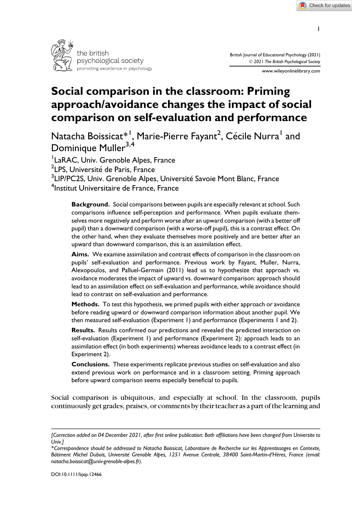

www.wileyonlinelibrary.com

# Social comparison in the classroom: Priming approach/avoidance changes the impact of social comparison on self-evaluation and performance

Natacha Boissicat $^{\ast\, !}$ , Marie-Pierre Fayant<sup>2</sup>, Cécile Nurra<sup>1</sup> and Dominique Muller<sup>3,4</sup>

<sup>1</sup> LaRAC, Univ. Grenoble Alpes, France

<sup>2</sup>LPS, Université de Paris, France

 $^3$ LIP/PC2S, Univ. Grenoble Alpes, Université Savoie Mont Blanc, France 4 Institut Universitaire de France, France

Background. Social comparisons between pupils are especially relevant at school. Such comparisons influence self-perception and performance. When pupils evaluate themselves more negatively and perform worse after an upward comparison (with a better off pupil) than a downward comparison (with a worse-off pupil), this is a contrast effect. On the other hand, when they evaluate themselves more positively and are better after an upward than downward comparison, this is an assimilation effect.

Aims. We examine assimilation and contrast effects of comparison in the classroom on pupils' self-evaluation and performance. Previous work by Fayant, Muller, Nurra, Alexopoulos, and Palluel-Germain (2011) lead us to hypothesize that approach vs. avoidance moderates the impact of upward vs. downward comparison: approach should lead to an assimilation effect on self-evaluation and performance, while avoidance should lead to contrast on self-evaluation and performance.

Methods. To test this hypothesis, we primed pupils with either approach or avoidance before reading upward or downward comparison information about another pupil. We then measured self-evaluation (Experiment 1) and performance (Experiments 1 and 2).

Results. Results confirmed our predictions and revealed the predicted interaction on self-evaluation (Experiment 1) and performance (Experiment 2): approach leads to an assimilation effect (in both experiments) whereas avoidance leads to a contrast effect (in Experiment 2).

Conclusions. These experiments replicate previous studies on self-evaluation and also extend previous work on performance and in a classroom setting. Priming approach before upward comparison seems especially beneficial to pupils.

Social comparison is ubiquitous, and especially at school. In the classroom, pupils continuously get grades, praises, or comments by their teacher as a part of the learning and

1

<sup>[</sup>Correction added on 04 December 2021, after first online publication: Both affiliations have been changed from Universite to Univ.]

<sup>\*</sup>Correspondence should be addressed to Natacha Boissicat, Laboratoire de Recherche sur les Apprentissages en Contexte, Bâtiment Michel Dubois, Université Grenoble Alpes, 1251 Avenue Centrale, 38400 Saint-Martin-d'Hères, France (email: [natacha.boissicat@univ-grenoble-alpes.fr\)](mailto:natacha.boissicat@univ-grenoble-alpes.fr).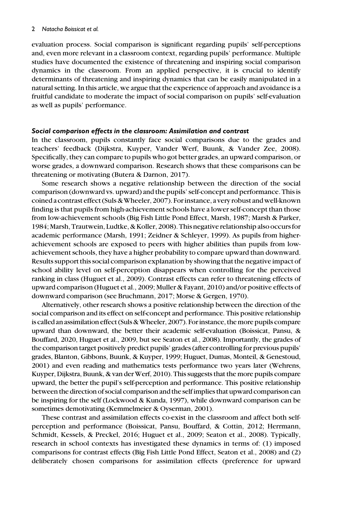evaluation process. Social comparison is significant regarding pupils' self-perceptions and, even more relevant in a classroom context, regarding pupils' performance. Multiple studies have documented the existence of threatening and inspiring social comparison dynamics in the classroom. From an applied perspective, it is crucial to identify determinants of threatening and inspiring dynamics that can be easily manipulated in a natural setting. In this article, we argue that the experience of approach and avoidance is a fruitful candidate to moderate the impact of social comparison on pupils' self-evaluation as well as pupils' performance.

#### Social comparison effects in the classroom: Assimilation and contrast

In the classroom, pupils constantly face social comparisons due to the grades and teachers' feedback (Dijkstra, Kuyper, Vander Werf, Buunk, & Vander Zee, 2008). Specifically, they can compare to pupils who got better grades, an upward comparison, or worse grades, a downward comparison. Research shows that these comparisons can be threatening or motivating (Butera & Darnon, 2017).

Some research shows a negative relationship between the direction of the social comparison (downward vs. upward) and the pupils' self-concept and performance. This is coined a contrast effect (Suls & Wheeler, 2007). For instance, a very robust and well-known finding is that pupils from high-achievement schools have a lower self-concept than those from low-achievement schools (Big Fish Little Pond Effect, Marsh, 1987; Marsh & Parker, 1984; Marsh, Trautwein, Ludtke, & Koller, 2008). This negative relationship also occurs for academic performance (Marsh, 1991; Zeidner & Schleyer, 1999). As pupils from higherachievement schools are exposed to peers with higher abilities than pupils from lowachievement schools, they have a higher probability to compare upward than downward. Results support this social comparison explanation by showing that the negative impact of school ability level on self-perception disappears when controlling for the perceived ranking in class (Huguet et al., 2009). Contrast effects can refer to threatening effects of upward comparison (Huguet et al., 2009; Muller & Fayant, 2010) and/or positive effects of downward comparison (see Bruchmann, 2017; Morse & Gergen, 1970).

Alternatively, other research shows a positive relationship between the direction of the social comparison and its effect on self-concept and performance. This positive relationship is called an assimilation effect (Suls & Wheeler, 2007). For instance, the more pupils compare upward than downward, the better their academic self-evaluation (Boissicat, Pansu, & Bouffard, 2020, Huguet et al., 2009, but see Seaton et al., 2008). Importantly, the grades of the comparison target positively predict pupils' grades (after controlling for previous pupils' grades, Blanton, Gibbons, Buunk, & Kuyper, 1999; Huguet, Dumas, Monteil, & Genestoud, 2001) and even reading and mathematics tests performance two years later (Wehrens, Kuyper, Dijkstra, Buunk, & van der Werf, 2010). This suggests that the more pupils compare upward, the better the pupil's self-perception and performance. This positive relationship between the direction of social comparison and the self implies that upward comparison can be inspiring for the self (Lockwood & Kunda, 1997), while downward comparison can be sometimes demotivating (Kemmelmeier & Oyserman, 2001).

These contrast and assimilation effects co-exist in the classroom and affect both selfperception and performance (Boissicat, Pansu, Bouffard, & Cottin, 2012; Herrmann, Schmidt, Kessels, & Preckel, 2016; Huguet et al., 2009; Seaton et al., 2008). Typically, research in school contexts has investigated these dynamics in terms of: (1) imposed comparisons for contrast effects (Big Fish Little Pond Effect, Seaton et al., 2008) and (2) deliberately chosen comparisons for assimilation effects (preference for upward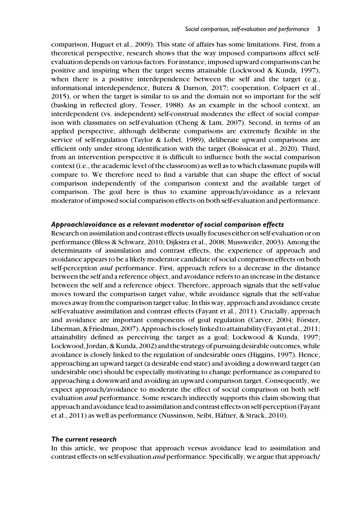comparison, Huguet et al., 2009). This state of affairs has some limitations. First, from a theoretical perspective, research shows that the way imposed comparisons affect selfevaluation depends on various factors. For instance, imposed upward comparisons can be positive and inspiring when the target seems attainable (Lockwood & Kunda, 1997), when there is a positive interdependence between the self and the target (e.g., informational interdependence, Butera & Darnon, 2017; cooperation, Colpaert et al., 2015), or when the target is similar to us and the domain not so important for the self (basking in reflected glory, Tesser, 1988). As an example in the school context, an interdependent (vs. independent) self-construal moderates the effect of social comparison with classmates on self-evaluation (Cheng & Lam, 2007). Second, in terms of an applied perspective, although deliberate comparisons are extremely flexible in the service of self-regulation (Taylor & Lobel, 1989), deliberate upward comparisons are efficient only under strong identification with the target (Boissicat et al., 2020). Third, from an intervention perspective it is difficult to influence both the social comparison context (i.e., the academic level of the classroom) as well as to which classmate pupils will compare to. We therefore need to find a variable that can shape the effect of social comparison independently of the comparison context and the available target of comparison. The goal here is thus to examine approach/avoidance as a relevant moderator of imposed social comparison effects on both self-evaluation and performance.

#### Approach/avoidance as a relevant moderator of social comparison effects

Research on assimilation and contrast effects usually focuses either on self-evaluation or on performance (Bless & Schwarz, 2010; Dijkstra et al., 2008; Mussweiler, 2003). Among the determinants of assimilation and contrast effects, the experience of approach and avoidance appears to be a likely moderator candidate of social comparison effects on both self-perception *and* performance. First, approach refers to a decrease in the distance between the self and a reference object, and avoidance refers to an increase in the distance between the self and a reference object. Therefore, approach signals that the self-value moves toward the comparison target value, while avoidance signals that the self-value moves away from the comparison target value. In this way, approach and avoidance create self-evaluative assimilation and contrast effects (Fayant et al., 2011). Crucially, approach and avoidance are important components of goal regulation (Carver, 2004; Förster, Liberman,& Friedman, 2007).Approachiscloselylinked toattainability (Fayantetal., 2011; attainability defined as perceiving the target as a goal; Lockwood & Kunda, 1997; Lockwood, Jordan, & Kunda, 2002) and the strategy of pursuing desirable outcomes, while avoidance is closely linked to the regulation of undesirable ones (Higgins, 1997). Hence, approaching an upward target (a desirable end state) and avoiding a downward target (an undesirable one) should be especially motivating to change performance as compared to approaching a downward and avoiding an upward comparison target. Consequently, we expect approach/avoidance to moderate the effect of social comparison on both selfevaluation and performance. Some research indirectly supports this claim showing that approach and avoidancelead to assimilation and contrast effects on self-perception (Fayant et al., 2011) as well as performance (Nussinson, Seibt, Häfner, & Strack, 2010).

#### The current research

In this article, we propose that approach versus avoidance lead to assimilation and contrast effects on self-evaluation and performance. Specifically, we argue that approach/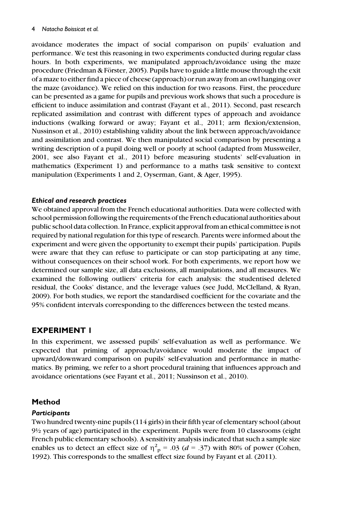avoidance moderates the impact of social comparison on pupils' evaluation and performance. We test this reasoning in two experiments conducted during regular class hours. In both experiments, we manipulated approach/avoidance using the maze procedure (Friedman & Förster, 2005). Pupils have to guide a little mouse through the exit of a maze to either find a piece of cheese (approach) or run away from an owl hanging over the maze (avoidance). We relied on this induction for two reasons. First, the procedure can be presented as a game for pupils and previous work shows that such a procedure is efficient to induce assimilation and contrast (Fayant et al., 2011). Second, past research replicated assimilation and contrast with different types of approach and avoidance inductions (walking forward or away; Fayant et al., 2011; arm flexion/extension, Nussinson et al., 2010) establishing validity about the link between approach/avoidance and assimilation and contrast. We then manipulated social comparison by presenting a writing description of a pupil doing well or poorly at school (adapted from Mussweiler, 2001, see also Fayant et al., 2011) before measuring students' self-evaluation in mathematics (Experiment 1) and performance to a maths task sensitive to context manipulation (Experiments 1 and 2, Oyserman, Gant, & Ager, 1995).

## Ethical and research practices

We obtained approval from the French educational authorities. Data were collected with school permission following the requirements of the French educational authorities about public school data collection. In France, explicit approval from an ethical committee is not required by national regulation for this type of research. Parents were informed about the experiment and were given the opportunity to exempt their pupils' participation. Pupils were aware that they can refuse to participate or can stop participating at any time, without consequences on their school work. For both experiments, we report how we determined our sample size, all data exclusions, all manipulations, and all measures. We examined the following outliers' criteria for each analysis: the studentised deleted residual, the Cooks' distance, and the leverage values (see Judd, McClelland, & Ryan, 2009). For both studies, we report the standardised coefficient for the covariate and the 95% confident intervals corresponding to the differences between the tested means.

# EXPERIMENT 1

In this experiment, we assessed pupils' self-evaluation as well as performance. We expected that priming of approach/avoidance would moderate the impact of upward/downward comparison on pupils' self-evaluation and performance in mathematics. By priming, we refer to a short procedural training that influences approach and avoidance orientations (see Fayant et al., 2011; Nussinson et al., 2010).

# Method

# **Participants**

Two hundred twenty-nine pupils (114 girls) in their fifth year of elementary school (about 9½ years of age) participated in the experiment. Pupils were from 10 classrooms (eight French public elementary schools). A sensitivity analysis indicated that such a sample size enables us to detect an effect size of  $\eta_{\text{p}}^2 = .03$  ( $d = .37$ ) with 80% of power (Cohen, 1992). This corresponds to the smallest effect size found by Evant et al. (2011). 1992). This corresponds to the smallest effect size found by Fayant et al. (2011).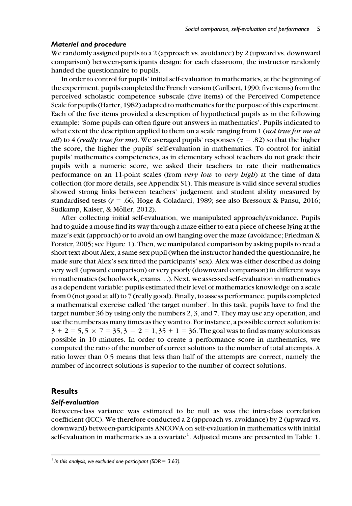## Materiel and procedure

We randomly assigned pupils to a 2 (approach vs. avoidance) by 2 (upward vs. downward comparison) between-participants design: for each classroom, the instructor randomly handed the questionnaire to pupils.

In order to control for pupils' initial self-evaluation in mathematics, at the beginning of the experiment, pupils completed the French version (Guilbert, 1990; five items) from the perceived scholastic competence subscale (five items) of the Perceived Competence Scale for pupils (Harter, 1982) adapted to mathematics for the purpose of this experiment. Each of the five items provided a description of hypothetical pupils as in the following example: 'Some pupils can often figure out answers in mathematics'. Pupils indicated to what extent the description applied to them on a scale ranging from 1 (not true for me at all) to 4 (really true for me). We averaged pupils' responses ( $\alpha = .82$ ) so that the higher the score, the higher the pupils' self-evaluation in mathematics. To control for initial pupils' mathematics competencies, as in elementary school teachers do not grade their pupils with a numeric score, we asked their teachers to rate their mathematics performance on an 11-point scales (from very low to very high) at the time of data collection (for more details, see Appendix S1). This measure is valid since several studies showed strong links between teachers' judgement and student ability measured by standardised tests ( $r = .66$ , Hoge & Coladarci, 1989; see also Bressoux & Pansu, 2016; Südkamp, Kaiser, & Möller, 2012).

After collecting initial self-evaluation, we manipulated approach/avoidance. Pupils had to guide a mouse find its way through a maze either to eat a piece of cheese lying at the maze's exit (approach) or to avoid an owl hanging over the maze (avoidance; Friedman & Forster, 2005; see Figure 1). Then, we manipulated comparison by asking pupils to read a short text about Alex, a same-sex pupil (when the instructor handed the questionnaire, he made sure that Alex's sex fitted the participants' sex). Alex was either described as doing very well (upward comparison) or very poorly (downward comparison) in different ways in mathematics (schoolwork, exams...). Next, we assessed self-evaluation in mathematics as a dependent variable: pupils estimated their level of mathematics knowledge on a scale from 0 (not good at all) to 7 (really good). Finally, to assess performance, pupils completed a mathematical exercise called 'the target number'. In this task, pupils have to find the target number 36 by using only the numbers 2, 3, and 7. They may use any operation, and use the numbers as many times as they want to. For instance, a possible correct solution is:  $3 + 2 = 5, 5 \times 7 = 35, 3 - 2 = 1, 35 + 1 = 36$ . The goal was to find as many solutions as possible in 10 minutes. In order to create a performance score in mathematics, we computed the ratio of the number of correct solutions to the number of total attempts. A ratio lower than 0.5 means that less than half of the attempts are correct, namely the number of incorrect solutions is superior to the number of correct solutions.

# Results

## Self-evaluation

Between-class variance was estimated to be null as was the intra-class correlation coefficient (ICC). We therefore conducted a 2 (approach vs. avoidance) by 2 (upward vs. downward) between-participants ANCOVA on self-evaluation in mathematics with initial self-evaluation in mathematics as a covariate<sup>1</sup>. Adjusted means are presented in Table 1.

 $<sup>1</sup>$  In this analysis, we excluded one participant (SDR = 3.63).</sup>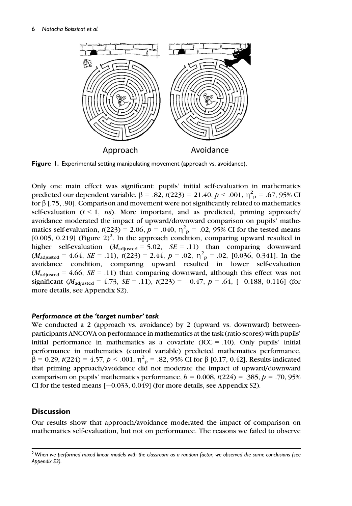

Figure 1. Experimental setting manipulating movement (approach vs. avoidance).

Only one main effect was significant: pupils' initial self-evaluation in mathematics predicted our dependent variable,  $\beta = .82$ ,  $t(223) = 21.40$ ,  $p < .001$ ,  $\eta^{2}_{p} = .67$ , 95% CI<br>for 8.1.75, .001. Comparison and movement were not significantly related to mathematics for  $\beta$  [.75, .90]. Comparison and movement were not significantly related to mathematics self-evaluation  $(t \leq 1, ns)$ . More important, and as predicted, priming approach/ avoidance moderated the impact of upward/downward comparison on pupils' mathematics self-evaluation,  $t(223) = 2.06$ ,  $p = .040$ ,  $\eta^{2}$  p = .02, 95% CI for the tested means [ $0.005$ ,  $0.219$ ] (Figure  $2)^2$ . In the approach condition, comparing upward resulted in higher self-evaluation  $(M_{\text{adjusted}} = 5.02, \text{ } SE = .11)$  than comparing downward  $(M_{\text{adjusted}} = 4.64, \, SE = .11), \, t(223) = 2.44, \, p = .02, \, \eta^2 \text{p} = .02, \, [0.036, \, 0.341].$  In the exodence condition comparing unward resulted in lower self-evaluation avoidance condition, comparing upward resulted in lower self-evaluation  $(M_{\text{adjusted}} = 4.66, \text{ } SE = .11)$  than comparing downward, although this effect was not significant ( $M_{\text{adjusted}} = 4.73$ ,  $SE = .11$ ),  $t(223) = -0.47$ ,  $p = .64$ , [-0.188, 0.116] (for more details, see Appendix S2).

## Performance at the 'target number' task

We conducted a 2 (approach vs. avoidance) by 2 (upward vs. downward) betweenparticipants ANCOVA on performance in mathematics at the task (ratio scores) with pupils' initial performance in mathematics as a covariate  $(ICC = .10)$ . Only pupils' initial performance in mathematics (control variable) predicted mathematics performance,  $\beta = 0.29$ ,  $t(224) = 4.57$ ,  $p < .001$ ,  $\eta^2$  = .82, 95% CI for  $\beta$  [0.17, 0.42]. Results indicated that priming approach/avoidance did not moderate the impact of unward/downward that priming approach/avoidance did not moderate the impact of upward/downward comparison on pupils' mathematics performance,  $b = 0.008$ ,  $t(224) = .385$ ,  $p = .70$ , 95% CI for the tested means  $[-0.033, 0.049]$  (for more details, see Appendix S2).

# **Discussion**

Our results show that approach/avoidance moderated the impact of comparison on mathematics self-evaluation, but not on performance. The reasons we failed to observe

 $2$  When we performed mixed linear models with the classroom as a random factor, we observed the same conclusions (see Appendix S3).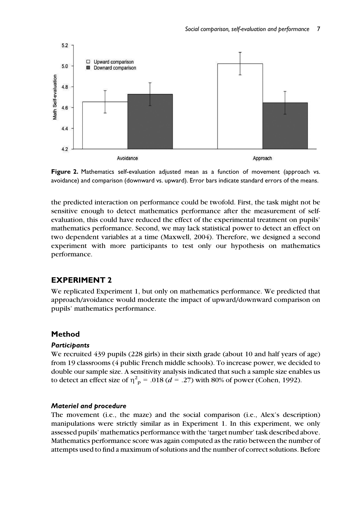

Figure 2. Mathematics self-evaluation adjusted mean as a function of movement (approach vs. avoidance) and comparison (downward vs. upward). Error bars indicate standard errors of the means.

the predicted interaction on performance could be twofold. First, the task might not be sensitive enough to detect mathematics performance after the measurement of selfevaluation, this could have reduced the effect of the experimental treatment on pupils' mathematics performance. Second, we may lack statistical power to detect an effect on two dependent variables at a time (Maxwell, 2004). Therefore, we designed a second experiment with more participants to test only our hypothesis on mathematics performance.

# EXPERIMENT 2

We replicated Experiment 1, but only on mathematics performance. We predicted that approach/avoidance would moderate the impact of upward/downward comparison on pupils' mathematics performance.

## Method

#### **Participants**

We recruited 439 pupils (228 girls) in their sixth grade (about 10 and half years of age) from 19 classrooms (4 public French middle schools). To increase power, we decided to double our sample size. A sensitivity analysis indicated that such a sample size enables us to detect an effect size of  $\eta_{\text{p}}^2 = .018$  (*d* = .27) with 80% of power (Cohen, 1992).

## Materiel and procedure

The movement (i.e., the maze) and the social comparison (i.e., Alex's description) manipulations were strictly similar as in Experiment 1. In this experiment, we only assessed pupils' mathematics performance with the 'target number' task described above. Mathematics performance score was again computed as the ratio between the number of attempts used to find a maximum of solutions and the number of correct solutions. Before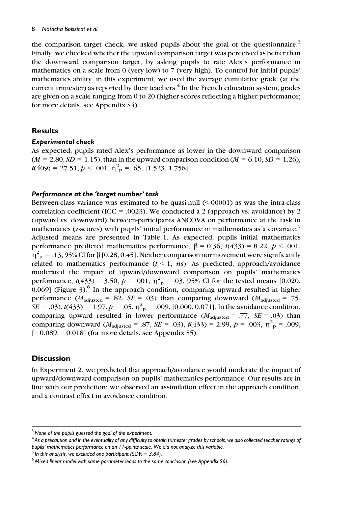the comparison target check, we asked pupils about the goal of the questionnaire.<sup>3</sup> Finally, we checked whether the upward comparison target was perceived as better than the downward comparison target, by asking pupils to rate Alex's performance in mathematics on a scale from 0 (very low) to 7 (very high). To control for initial pupils' mathematics ability, in this experiment, we used the average cumulative grade (at the current trimester) as reported by their teachers. $4$  In the French education system, grades are given on a scale ranging from 0 to 20 (higher scores reflecting a higher performance; for more details, see Appendix S4).

# **Results**

## Experimental check

As expected, pupils rated Alex's performance as lower in the downward comparison  $(M = 2.80, SD = 1.15)$ , than in the upward comparison condition  $(M = 6.10, SD = 1.26)$ ,  $t(409) = 27.51, p < .001, \eta^2_{\text{p}} = .65, [1.523, 1.758].$ 

## Performance at the 'target number' task

Between-class variance was estimated to be quasi-null  $\leq 00001$  as was the intra-class correlation coefficient (ICC = .0023). We conducted a 2 (approach vs. avoidance) by 2 (upward vs. downward) between-participants ANCOVA on performance at the task in mathematics (z-scores) with pupils' initial performance in mathematics as a covariate.<sup>5</sup> Adjusted means are presented in Table 1. As expected, pupils initial mathematics performance predicted mathematics performance,  $\beta = 0.36$ ,  $t(433) = 8.22$ ,  $p < .001$ ,  $\eta^2$ <sub>p</sub> = .13, 95% CI for  $\beta$  [0.28, 0.45]. Neither comparison nor movement were significantly<br>related to mathematics performance ( $t < 1$  is). As predicted approach/avoidance related to mathematics performance  $(t < 1, ns)$ . As predicted, approach/avoidance moderated the impact of upward/downward comparison on pupils' mathematics performance,  $t(433) = 3.50$ ,  $p = .001$ ,  $\eta^2$ <sub>p</sub> = .03, 95% CI for the tested means [0.020, 0.069] (Figure 3)<sup>6</sup> In the approach condition, comparing upward resulted in higher  $0.069$ ] (Figure 3).<sup>6</sup> In the approach condition, comparing upward resulted in higher performance  $(M_{\text{adjusted}} = .82, \, SE = .03)$  than comparing downward  $(M_{\text{adjusted}} = .75,$  $SE = .03$ ,  $t(433) = 1.97$ ,  $p = .05$ ,  $\eta^2$   $_p = .009$ , [0.000, 0.071]. In the avoidance condition,<br>comparing unward resulted in lower performance  $(M_{av.} = 77$ ,  $SE = .03$ ) than comparing upward resulted in lower performance  $(M_{\text{adjusted}} = .77, SE = .03)$  than comparing downward  $(M_{\text{adjusted}} = .87, \overline{SE} = .03)$ ,  $t(433) = 2.99, p = .003, \eta^2_{\text{p}} = .009,$ <br> $I = 0.089, I = 0.0181$  (for more details, see Appendix S5)  $[-0.089, -0.018]$  (for more details, see Appendix S5).

# **Discussion**

In Experiment 2, we predicted that approach/avoidance would moderate the impact of upward/downward comparison on pupils' mathematics performance. Our results are in line with our prediction: we observed an assimilation effect in the approach condition, and a contrast effect in avoidance condition.

 $3$  None of the pupils guessed the goal of the experiment.

<sup>4</sup> As a precaution and in the eventuality of any difficulty to obtain trimester grades by schools, we also collected teacher ratings of pupils' mathematics performance on an 11-points scale. We did not analyze this variable.<br><sup>5</sup> In this analysis, we excluded one participant (SDR = 3.84).

 $<sup>6</sup>$  Mixed linear model with same parameter leads to the same conclusion (see Appendix S6).</sup>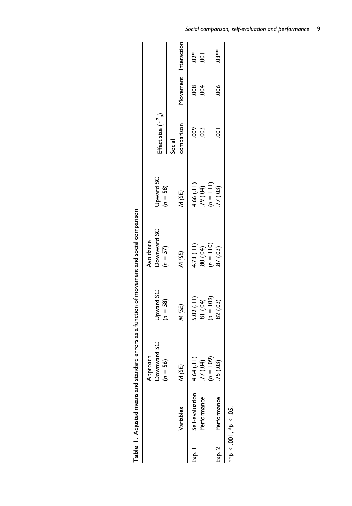|         |                       |                                             |                         | Avoidance                                         |                         |                       |                      |         |
|---------|-----------------------|---------------------------------------------|-------------------------|---------------------------------------------------|-------------------------|-----------------------|----------------------|---------|
|         |                       | Approach<br>Downward SC<br>56)<br>$=$ $\mu$ | Upward SC<br>$(n = 58)$ | Downward SC<br>$(n = 57)$                         | Upward SC<br>$(n = 58)$ | Effect size $(n^2_p)$ |                      |         |
|         |                       |                                             |                         |                                                   |                         | Social                |                      |         |
|         | Variables             | M (SE)                                      | M (SE)                  | M(SE)                                             | M(SE)                   | comparison            | Movement Interaction |         |
| —<br>82 | Self-evaluation       | Ξ<br>J<br>4.641                             | 5.02(.11)               |                                                   | 4.66(.11)               | 600                   | 800                  |         |
|         | Performance           | $77 (04)$<br>(n = 109)                      |                         | 4.73 (.11)<br>.80 (.04)<br>(n = 110)<br>.87 (.03) | $(n = 11)$<br>(n = 11)  | $\overline{00}$       | $\overline{6}$       | ໍ່ລຸ ອຸ |
|         |                       |                                             | $(a) = 10$<br>(b) $18$  |                                                   |                         |                       |                      |         |
| Exp. 2  | Performance           | 75 (.03)                                    | $(60)$ 28.              |                                                   | .77(03)                 | $\bar{\rm s}$         | $\frac{8}{2}$        | $.03**$ |
|         | **p < .001, *p < .05. |                                             |                         |                                                   |                         |                       |                      |         |

| האת המתמחה היה היה היה האת המתמחה היה היה היה המתמחה המת |  |
|----------------------------------------------------------|--|
|                                                          |  |
|                                                          |  |
|                                                          |  |
|                                                          |  |
|                                                          |  |
|                                                          |  |
|                                                          |  |
|                                                          |  |
|                                                          |  |
| 3<br>3<br>3<br>5<br>5<br>5<br>5<br>5<br>5<br>5<br>5<br>  |  |
|                                                          |  |
|                                                          |  |
|                                                          |  |
|                                                          |  |
|                                                          |  |
|                                                          |  |
| $\frac{2}{1}$                                            |  |
|                                                          |  |
|                                                          |  |
|                                                          |  |
|                                                          |  |
|                                                          |  |
|                                                          |  |
|                                                          |  |
|                                                          |  |
|                                                          |  |
|                                                          |  |
|                                                          |  |
|                                                          |  |
|                                                          |  |
|                                                          |  |
|                                                          |  |
|                                                          |  |
| j<br>;<br>;                                              |  |
|                                                          |  |
|                                                          |  |
|                                                          |  |
|                                                          |  |
| )<br>;<br>;                                              |  |
|                                                          |  |
| うちょうしょう ちょうしょうろく すり                                      |  |
|                                                          |  |
|                                                          |  |
|                                                          |  |
|                                                          |  |
|                                                          |  |
|                                                          |  |
|                                                          |  |
|                                                          |  |
|                                                          |  |
|                                                          |  |
|                                                          |  |
|                                                          |  |
|                                                          |  |
|                                                          |  |
|                                                          |  |
|                                                          |  |
|                                                          |  |

Social comparison, self-evaluation and performance 9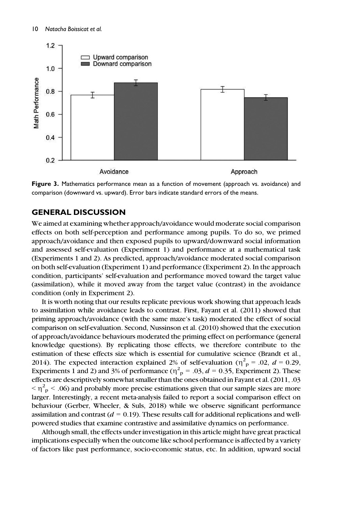

Figure 3. Mathematics performance mean as a function of movement (approach vs. avoidance) and comparison (downward vs. upward). Error bars indicate standard errors of the means.

# GENERAL DISCUSSION

We aimed at examining whether approach/avoidance would moderate social comparison effects on both self-perception and performance among pupils. To do so, we primed approach/avoidance and then exposed pupils to upward/downward social information and assessed self-evaluation (Experiment 1) and performance at a mathematical task (Experiments 1 and 2). As predicted, approach/avoidance moderated social comparison on both self-evaluation (Experiment 1) and performance (Experiment 2). In the approach condition, participants' self-evaluation and performance moved toward the target value (assimilation), while it moved away from the target value (contrast) in the avoidance condition (only in Experiment 2).

It is worth noting that our results replicate previous work showing that approach leads to assimilation while avoidance leads to contrast. First, Fayant et al. (2011) showed that priming approach/avoidance (with the same maze's task) moderated the effect of social comparison on self-evaluation. Second, Nussinson et al. (2010) showed that the execution of approach/avoidance behaviours moderated the priming effect on performance (general knowledge questions). By replicating those effects, we therefore contribute to the estimation of these effects size which is essential for cumulative science (Brandt et al., 2014). The expected interaction explained 2% of self-evaluation ( $\eta^2$  = .02,  $d$  = 0.29, Experiments 1 and 2) and 3% of performance ( $\eta^2$  = .03,  $d$  = 0.35. Experiment 2). These Experiments 1 and 2) and 3% of performance  $(\eta^2)_p = .03$ ,  $d = 0.35$ , Experiment 2). These effects are descriptively somewhat smaller than the ones obtained in Fayant et al. (2011, .03  $\langle \gamma \rangle$  = .06) and probably more precise estimations given that our sample sizes are more<br>larger. Interestingly, a recent meta-analysis failed to report a social comparison effect on larger. Interestingly, a recent meta-analysis failed to report a social comparison effect on behaviour (Gerber, Wheeler, & Suls, 2018) while we observe significant performance assimilation and contrast ( $d = 0.19$ ). These results call for additional replications and wellpowered studies that examine contrastive and assimilative dynamics on performance.

Although small, the effects under investigation in this article might have great practical implications especially when the outcome like school performance is affected by a variety of factors like past performance, socio-economic status, etc. In addition, upward social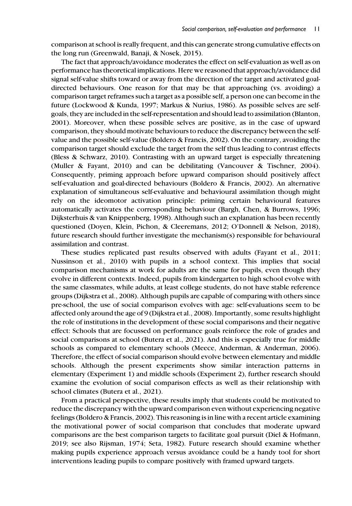comparison at school is really frequent, and this can generate strong cumulative effects on the long run (Greenwald, Banaji, & Nosek, 2015).

The fact that approach/avoidance moderates the effect on self-evaluation as well as on performance has theoretical implications. Here we reasoned that approach/avoidance did signal self-value shifts toward or away from the direction of the target and activated goaldirected behaviours. One reason for that may be that approaching (vs. avoiding) a comparison target reframes such a target as a possible self, a person one can become in the future (Lockwood & Kunda, 1997; Markus & Nurius, 1986). As possible selves are selfgoals, they are included in the self-representation and should lead to assimilation (Blanton, 2001). Moreover, when these possible selves are positive, as in the case of upward comparison, they should motivate behaviours to reduce the discrepancy between the selfvalue and the possible self-value (Boldero & Francis, 2002). On the contrary, avoiding the comparison target should exclude the target from the self thus leading to contrast effects (Bless & Schwarz, 2010). Contrasting with an upward target is especially threatening (Muller & Fayant, 2010) and can be debilitating (Vancouver & Tischner, 2004). Consequently, priming approach before upward comparison should positively affect self-evaluation and goal-directed behaviours (Boldero & Francis, 2002). An alternative explanation of simultaneous self-evaluative and behavioural assimilation though might rely on the ideomotor activation principle: priming certain behavioural features automatically activates the corresponding behaviour (Bargh, Chen, & Burrows, 1996; Dijksterhuis & van Knippenberg, 1998). Although such an explanation has been recently questioned (Doyen, Klein, Pichon, & Cleeremans, 2012; O'Donnell & Nelson, 2018), future research should further investigate the mechanism(s) responsible for behavioural assimilation and contrast.

These studies replicated past results observed with adults (Fayant et al., 2011; Nussinson et al., 2010) with pupils in a school context. This implies that social comparison mechanisms at work for adults are the same for pupils, even though they evolve in different contexts. Indeed, pupils from kindergarten to high school evolve with the same classmates, while adults, at least college students, do not have stable reference groups (Dijkstra et al., 2008). Although pupils are capable of comparing with others since pre-school, the use of social comparison evolves with age: self-evaluations seem to be affected only around the age of 9 (Dijkstra et al., 2008). Importantly, some results highlight the role of institutions in the development of these social comparisons and their negative effect: Schools that are focussed on performance goals reinforce the role of grades and social comparisons at school (Butera et al., 2021). And this is especially true for middle schools as compared to elementary schools (Meece, Anderman, & Anderman, 2006). Therefore, the effect of social comparison should evolve between elementary and middle schools. Although the present experiments show similar interaction patterns in elementary (Experiment 1) and middle schools (Experiment 2), further research should examine the evolution of social comparison effects as well as their relationship with school climates (Butera et al., 2021).

From a practical perspective, these results imply that students could be motivated to reduce the discrepancy with the upward comparison even without experiencing negative feelings (Boldero & Francis, 2002). This reasoning is in line with a recent article examining the motivational power of social comparison that concludes that moderate upward comparisons are the best comparison targets to facilitate goal pursuit (Diel & Hofmann, 2019; see also Rijsman, 1974; Seta, 1982). Future research should examine whether making pupils experience approach versus avoidance could be a handy tool for short interventions leading pupils to compare positively with framed upward targets.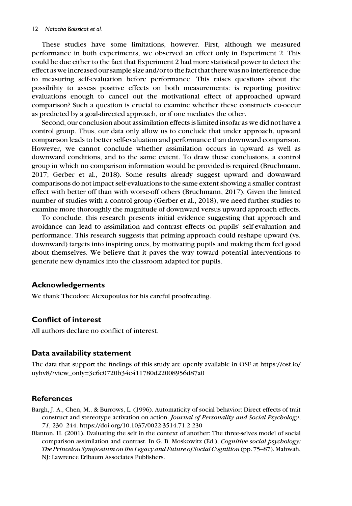These studies have some limitations, however. First, although we measured performance in both experiments, we observed an effect only in Experiment 2. This could be due either to the fact that Experiment 2 had more statistical power to detect the effect as we increased our sample size and/or to the fact that there was no interference due to measuring self-evaluation before performance. This raises questions about the possibility to assess positive effects on both measurements: is reporting positive evaluations enough to cancel out the motivational effect of approached upward comparison? Such a question is crucial to examine whether these constructs co-occur as predicted by a goal-directed approach, or if one mediates the other.

Second, our conclusion about assimilation effects is limited insofar as we did not have a control group. Thus, our data only allow us to conclude that under approach, upward comparison leads to better self-evaluation and performance than downward comparison. However, we cannot conclude whether assimilation occurs in upward as well as downward conditions, and to the same extent. To draw these conclusions, a control group in which no comparison information would be provided is required (Bruchmann, 2017; Gerber et al., 2018). Some results already suggest upward and downward comparisons do not impact self-evaluations to the same extent showing a smaller contrast effect with better off than with worse-off others (Bruchmann, 2017). Given the limited number of studies with a control group (Gerber et al., 2018), we need further studies to examine more thoroughly the magnitude of downward versus upward approach effects.

To conclude, this research presents initial evidence suggesting that approach and avoidance can lead to assimilation and contrast effects on pupils' self-evaluation and performance. This research suggests that priming approach could reshape upward (vs. downward) targets into inspiring ones, by motivating pupils and making them feel good about themselves. We believe that it paves the way toward potential interventions to generate new dynamics into the classroom adapted for pupils.

## Acknowledgements

We thank Theodore Alexopoulos for his careful proofreading.

# Conflict of interest

All authors declare no conflict of interest.

## Data availability statement

The data that support the findings of this study are openly available in OSF at [https://osf.io/](https://osf.io/uyhv8/?view_only=3e6e0720b34c411780d22008956d87a0) [uyhv8/?view\\_only=3e6e0720b34c411780d22008956d87a0](https://osf.io/uyhv8/?view_only=3e6e0720b34c411780d22008956d87a0)

# **References**

- Bargh, J. A., Chen, M., & Burrows, L. (1996). Automaticity of social behavior: Direct effects of trait construct and stereotype activation on action. Journal of Personality and Social Psychology, 71, 230–244.<https://doi.org/10.1037/0022-3514.71.2.230>
- Blanton, H. (2001). Evaluating the self in the context of another: The three-selves model of social comparison assimilation and contrast. In G. B. Moskowitz (Ed.), Cognitive social psychology: The Princeton Symposium on the Legacy and Future of Social Cognition (pp. 75–87). Mahwah, NJ: Lawrence Erlbaum Associates Publishers.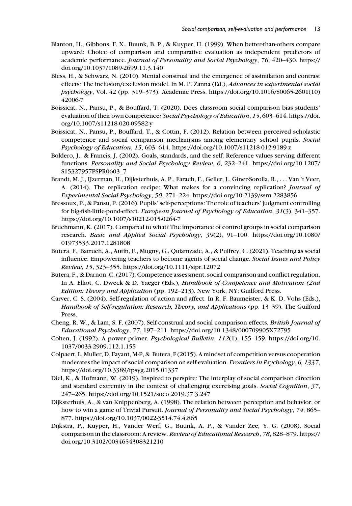- Blanton, H., Gibbons, F. X., Buunk, B. P., & Kuyper, H. (1999). When better-than-others compare upward: Choice of comparison and comparative evaluation as independent predictors of academic performance. Journal of Personality and Social Psychology, 76, 420–430. [https://](https://doi.org/10.1037/1089-2699.11.3.140) [doi.org/10.1037/1089-2699.11.3.140](https://doi.org/10.1037/1089-2699.11.3.140)
- Bless, H., & Schwarz, N. (2010). Mental construal and the emergence of assimilation and contrast effects: The inclusion/exclusion model. In M. P. Zanna (Ed.), Advances in experimental social psychology, Vol. 42 (pp. 319–373). Academic Press. [https://doi.org/10.1016/S0065-2601\(10\)](https://doi.org/10.1016/S0065-2601(10)42006-7) [42006-7](https://doi.org/10.1016/S0065-2601(10)42006-7)
- Boissicat, N., Pansu, P., & Bouffard, T. (2020). Does classroom social comparison bias students' evaluation of their own competence? Social Psychology of Education, 15, 603–614. [https://doi.](https://doi.org/10.1007/s11218-020-09582-y) [org/10.1007/s11218-020-09582-y](https://doi.org/10.1007/s11218-020-09582-y)
- Boissicat, N., Pansu, P., Bouffard, T., & Cottin, F. (2012). Relation between perceived scholastic competence and social comparison mechanisms among elementary school pupils. Social Psychology of Education, 15, 603–614.<https://doi.org/10.1007/s11218-012-9189-z>
- Boldero, J., & Francis, J. (2002). Goals, standards, and the self: Reference values serving different functions. Personality and Social Psychology Review, 6, 232–241. [https://doi.org/10.1207/](https://doi.org/10.1207/S15327957PSPR0603_7) [S15327957PSPR0603\\_7](https://doi.org/10.1207/S15327957PSPR0603_7)
- Brandt, M. J., IJzerman, H., Dijksterhuis, A. P., Farach, F., Geller, J., Giner-Sorolla, R., ... Van 't Veer, A. (2014). The replication recipe: What makes for a convincing replication? Journal of Experimental Social Psychology, 50, 271–224.<https://doi.org/10.2139/ssrn.2283856>
- Bressoux, P., & Pansu, P. (2016). Pupils' self-perceptions: The role of teachers' judgment controlling for big-fish-little-pond-effect. European Journal of Psychology of Education, 31(3), 341–357. <https://doi.org/10.1007/s10212-015-0264-7>
- Bruchmann, K. (2017). Compared to what? The importance of control groups in social comparison research. Basic and Applied Social Psychology, 39(2), 91–100. [https://doi.org/10.1080/](https://doi.org/10.1080/01973533.2017.1281808) [01973533.2017.1281808](https://doi.org/10.1080/01973533.2017.1281808)
- Butera, F., Batruch, A., Autin, F., Mugny, G., Quiamzade, A., & Pulfrey, C. (2021). Teaching as social influence: Empowering teachers to become agents of social change. Social Issues and Policy Review, 15, 323–355.<https://doi.org/10.1111/sipr.12072>
- Butera, F., & Darnon, C. (2017). Competence assessment, social comparison and conflict regulation. In A. Elliot, C. Dweck & D. Yaeger (Eds.), Handbook of Competence and Motivation (2nd Edition: Theory and Application (pp. 192–213). New York, NY: Guilford Press.
- Carver, C. S. (2004). Self-regulation of action and affect. In R. F. Baumeister, & K. D. Vohs (Eds.), Handbook of Self-regulation: Research, Theory, and Applications (pp. 13–39). The Guilford Press.
- Cheng, R. W., & Lam, S. F. (2007). Self-construal and social comparison effects. British Journal of Educational Psychology, 77, 197–211.<https://doi.org/10.1348/000709905X72795>
- Cohen, J. (1992). A power primer. Psychological Bulletin, 112(1), 155–159. [https://doi.org/10.](https://doi.org/10.1037/0033-2909.112.1.155) [1037/0033-2909.112.1.155](https://doi.org/10.1037/0033-2909.112.1.155)
- Colpaert, L, Muller, D, Fayant, M-P, & Butera, F (2015). A mindset of competition versus cooperation moderates the impact of social comparison on self-evaluation. *Frontiers in Psychology*, 6, 1337, <https://doi.org/10.3389/fpsyg.2015.01337>
- Diel, K., & Hofmann, W. (2019). Inspired to perspire: The interplay of social comparison direction and standard extremity in the context of challenging exercising goals. Social Cognition, 37, 247–265.<https://doi.org/10.1521/soco.2019.37.3.247>
- Dijksterhuis, A., & van Knippenberg, A. (1998). The relation between perception and behavior, or how to win a game of Trivial Pursuit. Journal of Personality and Social Psychology, 74, 865– 877.<https://doi.org/10.1037/0022-3514.74.4.865>
- Dijkstra, P., Kuyper, H., Vander Werf, G., Buunk, A. P., & Vander Zee, Y. G. (2008). Social comparison in the classroom: A review. Review of Educational Research, 78, 828–879. [https://](https://doi.org/10.3102/0034654308321210) [doi.org/10.3102/0034654308321210](https://doi.org/10.3102/0034654308321210)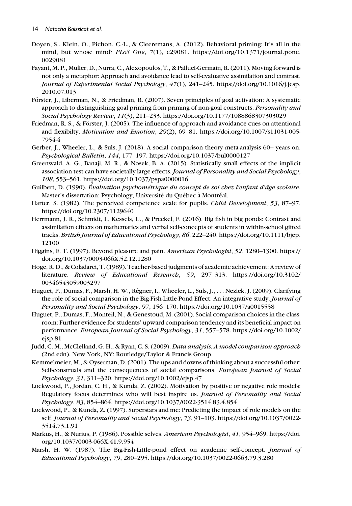- Doyen, S., Klein, O., Pichon, C.-L., & Cleeremans, A. (2012). Behavioral priming: It's all in the mind, but whose mind? PLoS One, 7(1), e29081. [https://doi.org/10.1371/journal.pone.](https://doi.org/10.1371/journal.pone.0029081) [0029081](https://doi.org/10.1371/journal.pone.0029081)
- Fayant, M. P., Muller, D., Nurra, C., Alexopoulos, T., & Palluel-Germain, R. (2011). Moving forward is not only a metaphor: Approach and avoidance lead to self-evaluative assimilation and contrast. Journal of Experimental Social Psychology, 47(1), 241–245. [https://doi.org/10.1016/j.jesp.](https://doi.org/10.1016/j.jesp.2010.07.013) [2010.07.013](https://doi.org/10.1016/j.jesp.2010.07.013)
- Förster, J., Liberman, N., & Friedman, R. (2007). Seven principles of goal activation: A systematic approach to distinguishing goal priming from priming of non-goal constructs. Personality and Social Psychology Review, 11(3), 211–233.<https://doi.org/10.1177/1088868307303029>
- Friedman, R. S., & Förster, J. (2005). The influence of approach and avoidance cues on attentional and flexibilty. Motivation and Emotion, 29(2), 69–81. [https://doi.org/10.1007/s11031-005-](https://doi.org/10.1007/s11031-005-7954-4) [7954-4](https://doi.org/10.1007/s11031-005-7954-4)
- Gerber, J., Wheeler, L., & Suls, J. (2018). A social comparison theory meta-analysis 60+ years on. Psychological Bulletin, 144, 177–197.<https://doi.org/10.1037/bul0000127>
- Greenwald, A. G., Banaji, M. R., & Nosek, B. A. (2015). Statistically small effects of the implicit association test can have societally large effects. Journal of Personality and Social Psychology, 108, 553–561.<https://doi.org/10.1037/pspa0000016>
- Guilbert, D. (1990). Évaluation psychométrique du concept de soi chez l'enfant d'âge scolaire. Master's dissertation: Psychology, Université du Québec à Montréal.
- Harter, S. (1982). The perceived competence scale for pupils. *Child Development*, 53, 87–97. <https://doi.org/10.2307/1129640>
- Herrmann, J. R., Schmidt, I., Kessels, U., & Preckel, F. (2016). Big fish in big ponds: Contrast and assimilation effects on mathematics and verbal self-concepts of students in within-school gifted tracks. British Journal of Educational Psychology, 86, 222–240. [https://doi.org/10.1111/bjep.](https://doi.org/10.1111/bjep.12100) [12100](https://doi.org/10.1111/bjep.12100)
- Higgins, E. T. (1997). Beyond pleasure and pain. American Psychologist, 52, 1280–1300. [https://](https://doi.org/10.1037/0003-066X.52.12.1280) [doi.org/10.1037/0003-066X.52.12.1280](https://doi.org/10.1037/0003-066X.52.12.1280)
- Hoge, R. D., & Coladarci, T. (1989). Teacher-based judgments of academic achievement: A review of literature. Review of Educational Research, 59, 297–313. [https://doi.org/10.3102/](https://doi.org/10.3102/00346543059003297) [00346543059003297](https://doi.org/10.3102/00346543059003297)
- Huguet, P., Dumas, F., Marsh, H. W., Regner, I., Wheeler, L., Suls, J., ... Nezlek, J. (2009). Clarifying the role of social comparison in the Big-Fish-Little-Pond Effect: An integrative study. Journal of Personality and Social Psychology, 97, 156–170.<https://doi.org/10.1037/a0015558>
- Huguet, P., Dumas, F., Monteil, N., & Genestoud, M. (2001). Social comparison choices in the classroom: Further evidence for students' upward comparison tendency and its beneficial impact on performance. European Journal of Social Psychology, 31, 557–578. [https://doi.org/10.1002/](https://doi.org/10.1002/ejsp.81) [ejsp.81](https://doi.org/10.1002/ejsp.81)
- Judd, C. M., McClelland, G. H., & Ryan, C. S. (2009). Data analysis: A model comparison approach (2nd edn). New York, NY: Routledge/Taylor & Francis Group.
- Kemmelmeier, M., & Oyserman, D. (2001). The ups and downs of thinking about a successful other: Self-construals and the consequences of social comparisons. European Journal of Social Psychology, 31, 311–320.<https://doi.org/10.1002/ejsp.47>
- Lockwood, P., Jordan, C. H., & Kunda, Z. (2002). Motivation by positive or negative role models: Regulatory focus determines who will best inspire us. Journal of Personality and Social Psychology, 83, 854–864.<https://doi.org/10.1037/0022-3514.83.4.854>
- Lockwood, P., & Kunda, Z. (1997). Superstars and me: Predicting the impact of role models on the self. Journal of Personality and Social Psychology, 73, 91–103. [https://doi.org/10.1037/0022-](https://doi.org/10.1037/0022-3514.73.1.91) [3514.73.1.91](https://doi.org/10.1037/0022-3514.73.1.91)
- Markus, H., & Nurius, P. (1986). Possible selves. American Psychologist, 41, 954–969. [https://doi.](https://doi.org/10.1037/0003-066X.41.9.954) [org/10.1037/0003-066X.41.9.954](https://doi.org/10.1037/0003-066X.41.9.954)
- Marsh, H. W. (1987). The Big-Fish-Little-pond effect on academic self-concept. Journal of Educational Psychology, 79, 280–295.<https://doi.org/10.1037/0022-0663.79.3.280>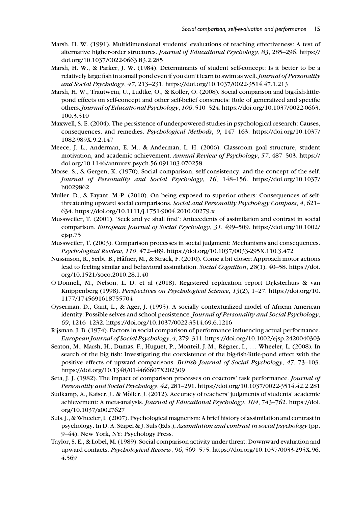- Marsh, H. W. (1991). Multidimensional students' evaluations of teaching effectiveness: A test of alternative higher-order structures. Journal of Educational Psychology, 83, 285–296. [https://](https://doi.org/10.1037/0022-0663.83.2.285) [doi.org/10.1037/0022-0663.83.2.285](https://doi.org/10.1037/0022-0663.83.2.285)
- Marsh, H. W., & Parker, J. W. (1984). Determinants of student self-concept: Is it better to be a relatively large fish in a small pond even if you don't learn to swim as well. Journal of Personality and Social Psychology, 47, 213–231.<https://doi.org/10.1037/0022-3514.47.1.213>
- Marsh, H. W., Trautwein, U., Ludtke, O., & Koller, O. (2008). Social comparison and big-fish-littlepond effects on self-concept and other self-belief constructs: Role of generalized and specific others.Journal of Educational Psychology, 100, 510–524. [https://doi.org/10.1037/0022-0663.](https://doi.org/10.1037/0022-0663.100.3.510) [100.3.510](https://doi.org/10.1037/0022-0663.100.3.510)
- Maxwell, S. E. (2004). The persistence of underpowered studies in psychological research: Causes, consequences, and remedies. Psychological Methods, 9, 147–163. [https://doi.org/10.1037/](https://doi.org/10.1037/1082-989X.9.2.147) [1082-989X.9.2.147](https://doi.org/10.1037/1082-989X.9.2.147)
- Meece, J. L., Anderman, E. M., & Anderman, L. H. (2006). Classroom goal structure, student motivation, and academic achievement. Annual Review of Psychology, 57, 487-503. [https://](https://doi.org/10.1146/annurev.psych.56.091103.070258) [doi.org/10.1146/annurev.psych.56.091103.070258](https://doi.org/10.1146/annurev.psych.56.091103.070258)
- Morse, S., & Gergen, K. (1970). Social comparison, self-consistency, and the concept of the self. Journal of Personality and Social Psychology, 16, 148–156. [https://doi.org/10.1037/](https://doi.org/10.1037/h0029862) [h0029862](https://doi.org/10.1037/h0029862)
- Muller, D., & Fayant, M.-P. (2010). On being exposed to superior others: Consequences of selfthreatening upward social comparisons. Social and Personality Psychology Compass, 4, 621– 634.<https://doi.org/10.1111/j.1751-9004.2010.00279.x>
- Mussweiler, T. (2001). 'Seek and ye shall find': Antecedents of assimilation and contrast in social comparison. European Journal of Social Psychology, 31, 499–509. [https://doi.org/10.1002/](https://doi.org/10.1002/ejsp.75) [ejsp.75](https://doi.org/10.1002/ejsp.75)
- Mussweiler, T. (2003). Comparison processes in social judgment: Mechanisms and consequences. Psychological Review, 110, 472–489.<https://doi.org/10.1037/0033-295X.110.3.472>
- Nussinson, R., Seibt, B., Häfner, M., & Strack, F. (2010). Come a bit closer: Approach motor actions lead to feeling similar and behavioral assimilation. Social Cognition, 28(1), 40–58. [https://doi.](https://doi.org/10.1521/soco.2010.28.1.40) [org/10.1521/soco.2010.28.1.40](https://doi.org/10.1521/soco.2010.28.1.40)
- O'Donnell, M., Nelson, L. D. et al (2018). Registered replication report Dijksterhuis & van Knippenberg (1998). Perspectives on Psychological Science, 13(2), 1–27. [https://doi.org/10.](https://doi.org/10.1177/1745691618755704) [1177/1745691618755704](https://doi.org/10.1177/1745691618755704)
- Oyserman, D., Gant, L., & Ager, J. (1995). A socially contextualized model of African American identity: Possible selves and school persistence. Journal of Personality and Social Psychology, 69, 1216–1232.<https://doi.org/10.1037/0022-3514.69.6.1216>
- Rijsman, J. B. (1974). Factors in social comparison of performance influencing actual performance. European Journal of Social Psychology, 4, 279–311.<https://doi.org/10.1002/ejsp.2420040303>
- Seaton, M., Marsh, H., Dumas, F., Huguet, P., Monteil, J.-M., Regner, I., ... Wheeler, L. (2008). In search of the big fish: Investigating the coexistence of the big-fish-little-pond effect with the positive effects of upward comparisons. British Journal of Social Psychology, 47, 73–103. <https://doi.org/10.1348/014466607X202309>
- Seta, J. J. (1982). The impact of comparison processes on coactors' task performance. Journal of Personality and Social Psychology, 42, 281–291.<https://doi.org/10.1037/0022-3514.42.2.281>
- Südkamp, A., Kaiser, J., & Möller, J. (2012). Accuracy of teachers' judgments of students' academic achievement: A meta-analysis. Journal of Educational Psychology, 104, 743–762. [https://doi.](https://doi.org/10.1037/a0027627) [org/10.1037/a0027627](https://doi.org/10.1037/a0027627)
- Suls, J., & Wheeler, L. (2007). Psychological magnetism: A brief history of assimilation and contrast in psychology. In D. A. Stapel & J. Suls (Eds.), Assimilation and contrast in social psychology (pp. 9–44). New York, NY: Psychology Press.
- Taylor, S. E., & Lobel, M. (1989). Social comparison activity under threat: Downward evaluation and upward contacts. Psychological Review, 96, 569–575. [https://doi.org/10.1037/0033-295X.96.](https://doi.org/10.1037/0033-295X.96.4.569) [4.569](https://doi.org/10.1037/0033-295X.96.4.569)